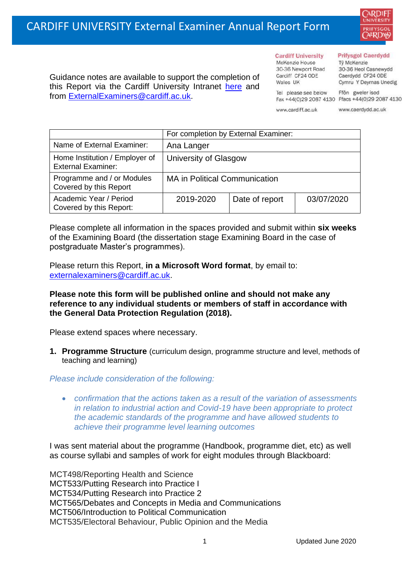

Guidance notes are available to support the completion of this Report via the Cardiff University Intranet [here](https://intranet.cardiff.ac.uk/staff/teaching-and-supporting-students/exams-and-assessment/exam-boards-and-external-examiners/for-current-external-examiners/external-examiners-reports) and from [ExternalExaminers@cardiff.ac.uk.](mailto:ExternalExaminers@cardiff.ac.uk)

**Prifysgol Caerdydd** 

Từ McKenzie 30-36 Heol Casnewydd Caerdydd CF24 ODE Cymru Y Deyrnas Unedig

Tel please see below Ffôn gweler isod Fax +44(0)29 2087 4130 Ffacs +44(0)29 2087 4130 www.cardiff.ac.uk

**Cardiff University** 

30-36 Newport Road

McKenzie House

Cardiff CF24 ODE

Wales IIK

www.caerdydd.ac.uk

|                                                             | For completion by External Examiner: |                |            |
|-------------------------------------------------------------|--------------------------------------|----------------|------------|
| Name of External Examiner:                                  | Ana Langer                           |                |            |
| Home Institution / Employer of<br><b>External Examiner:</b> | University of Glasgow                |                |            |
| Programme and / or Modules<br>Covered by this Report        | <b>MA in Political Communication</b> |                |            |
| Academic Year / Period<br>Covered by this Report:           | 2019-2020                            | Date of report | 03/07/2020 |

Please complete all information in the spaces provided and submit within **six weeks** of the Examining Board (the dissertation stage Examining Board in the case of postgraduate Master's programmes).

Please return this Report, **in a Microsoft Word format**, by email to: [externalexaminers@cardiff.ac.uk.](mailto:externalexaminers@cardiff.ac.uk)

## **Please note this form will be published online and should not make any reference to any individual students or members of staff in accordance with the General Data Protection Regulation (2018).**

Please extend spaces where necessary.

**1. Programme Structure** (curriculum design, programme structure and level, methods of teaching and learning)

## *Please include consideration of the following:*

• *confirmation that the actions taken as a result of the variation of assessments in relation to industrial action and Covid-19 have been appropriate to protect the academic standards of the programme and have allowed students to achieve their programme level learning outcomes*

I was sent material about the programme (Handbook, programme diet, etc) as well as course syllabi and samples of work for eight modules through Blackboard:

MCT498/Reporting Health and Science MCT533/Putting Research into Practice I MCT534/Putting Research into Practice 2 MCT565/Debates and Concepts in Media and Communications MCT506/Introduction to Political Communication MCT535/Electoral Behaviour, Public Opinion and the Media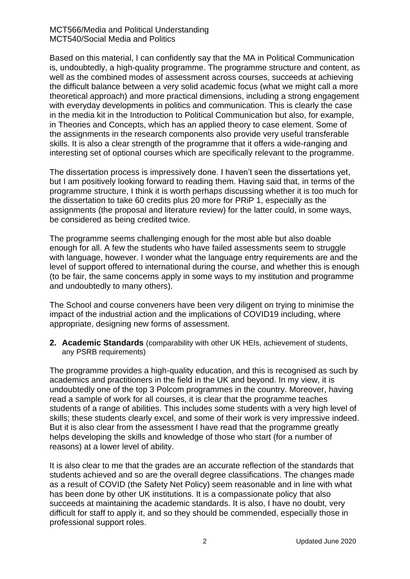MCT566/Media and Political Understanding MCT540/Social Media and Politics

Based on this material, I can confidently say that the MA in Political Communication is, undoubtedly, a high-quality programme. The programme structure and content, as well as the combined modes of assessment across courses, succeeds at achieving the difficult balance between a very solid academic focus (what we might call a more theoretical approach) and more practical dimensions, including a strong engagement with everyday developments in politics and communication. This is clearly the case in the media kit in the Introduction to Political Communication but also, for example, in Theories and Concepts, which has an applied theory to case element. Some of the assignments in the research components also provide very useful transferable skills. It is also a clear strength of the programme that it offers a wide-ranging and interesting set of optional courses which are specifically relevant to the programme.

The dissertation process is impressively done. I haven't seen the dissertations yet, but I am positively looking forward to reading them. Having said that, in terms of the programme structure, I think it is worth perhaps discussing whether it is too much for the dissertation to take 60 credits plus 20 more for PRiP 1, especially as the assignments (the proposal and literature review) for the latter could, in some ways, be considered as being credited twice.

The programme seems challenging enough for the most able but also doable enough for all. A few the students who have failed assessments seem to struggle with language, however. I wonder what the language entry requirements are and the level of support offered to international during the course, and whether this is enough (to be fair, the same concerns apply in some ways to my institution and programme and undoubtedly to many others).

The School and course conveners have been very diligent on trying to minimise the impact of the industrial action and the implications of COVID19 including, where appropriate, designing new forms of assessment.

**2. Academic Standards** (comparability with other UK HEIs, achievement of students, any PSRB requirements)

The programme provides a high-quality education, and this is recognised as such by academics and practitioners in the field in the UK and beyond. In my view, it is undoubtedly one of the top 3 Polcom programmes in the country. Moreover, having read a sample of work for all courses, it is clear that the programme teaches students of a range of abilities. This includes some students with a very high level of skills; these students clearly excel, and some of their work is very impressive indeed. But it is also clear from the assessment I have read that the programme greatly helps developing the skills and knowledge of those who start (for a number of reasons) at a lower level of ability.

It is also clear to me that the grades are an accurate reflection of the standards that students achieved and so are the overall degree classifications. The changes made as a result of COVID (the Safety Net Policy) seem reasonable and in line with what has been done by other UK institutions. It is a compassionate policy that also succeeds at maintaining the academic standards. It is also, I have no doubt, very difficult for staff to apply it, and so they should be commended, especially those in professional support roles.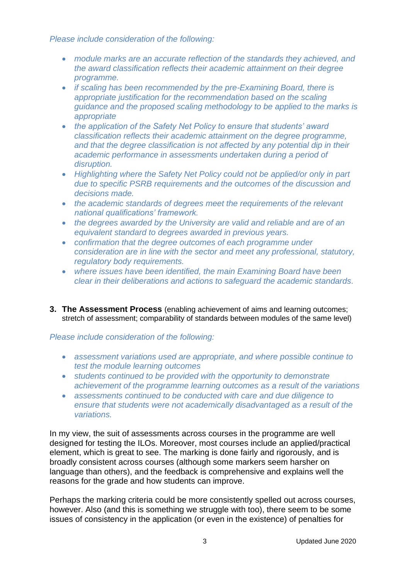*Please include consideration of the following:* 

- *module marks are an accurate reflection of the standards they achieved, and the award classification reflects their academic attainment on their degree programme.*
- *if scaling has been recommended by the pre-Examining Board, there is appropriate justification for the recommendation based on the scaling guidance and the proposed scaling methodology to be applied to the marks is appropriate*
- *the application of the Safety Net Policy to ensure that students' award classification reflects their academic attainment on the degree programme, and that the degree classification is not affected by any potential dip in their academic performance in assessments undertaken during a period of disruption.*
- Highlighting where the Safety Net Policy could not be applied/or only in part *due to specific PSRB requirements and the outcomes of the discussion and decisions made.*
- *the academic standards of degrees meet the requirements of the relevant national qualifications' framework.*
- *the degrees awarded by the University are valid and reliable and are of an equivalent standard to degrees awarded in previous years.*
- *confirmation that the degree outcomes of each programme under consideration are in line with the sector and meet any professional, statutory, regulatory body requirements.*
- *where issues have been identified, the main Examining Board have been clear in their deliberations and actions to safeguard the academic standards.*
- **3. The Assessment Process** (enabling achievement of aims and learning outcomes; stretch of assessment; comparability of standards between modules of the same level)

*Please include consideration of the following:* 

- *assessment variations used are appropriate, and where possible continue to test the module learning outcomes*
- *students continued to be provided with the opportunity to demonstrate achievement of the programme learning outcomes as a result of the variations*
- *assessments continued to be conducted with care and due diligence to ensure that students were not academically disadvantaged as a result of the variations.*

In my view, the suit of assessments across courses in the programme are well designed for testing the ILOs. Moreover, most courses include an applied/practical element, which is great to see. The marking is done fairly and rigorously, and is broadly consistent across courses (although some markers seem harsher on language than others), and the feedback is comprehensive and explains well the reasons for the grade and how students can improve.

Perhaps the marking criteria could be more consistently spelled out across courses, however. Also (and this is something we struggle with too), there seem to be some issues of consistency in the application (or even in the existence) of penalties for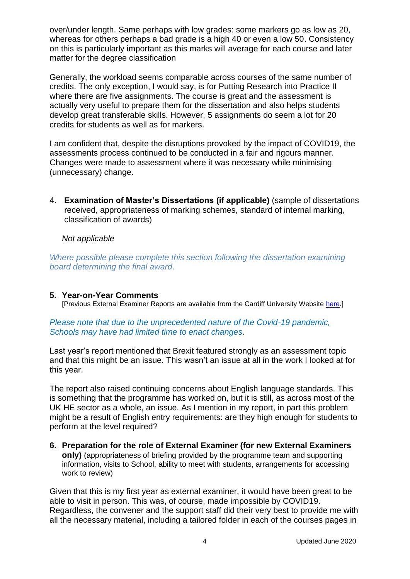over/under length. Same perhaps with low grades: some markers go as low as 20, whereas for others perhaps a bad grade is a high 40 or even a low 50. Consistency on this is particularly important as this marks will average for each course and later matter for the degree classification

Generally, the workload seems comparable across courses of the same number of credits. The only exception, I would say, is for Putting Research into Practice II where there are five assignments. The course is great and the assessment is actually very useful to prepare them for the dissertation and also helps students develop great transferable skills. However, 5 assignments do seem a lot for 20 credits for students as well as for markers.

I am confident that, despite the disruptions provoked by the impact of COVID19, the assessments process continued to be conducted in a fair and rigours manner. Changes were made to assessment where it was necessary while minimising (unnecessary) change.

4. **Examination of Master's Dissertations (if applicable)** (sample of dissertations received, appropriateness of marking schemes, standard of internal marking, classification of awards)

*Not applicable* 

*Where possible please complete this section following the dissertation examining board determining the final award*.

## **5. Year-on-Year Comments**

[Previous External Examiner Reports are available from the Cardiff University Website [here.](https://www.cardiff.ac.uk/public-information/quality-and-standards/external-examiner-reports)]

*Please note that due to the unprecedented nature of the Covid-19 pandemic, Schools may have had limited time to enact changes*.

Last year's report mentioned that Brexit featured strongly as an assessment topic and that this might be an issue. This wasn't an issue at all in the work I looked at for this year.

The report also raised continuing concerns about English language standards. This is something that the programme has worked on, but it is still, as across most of the UK HE sector as a whole, an issue. As I mention in my report, in part this problem might be a result of English entry requirements: are they high enough for students to perform at the level required?

**6. Preparation for the role of External Examiner (for new External Examiners only)** (appropriateness of briefing provided by the programme team and supporting information, visits to School, ability to meet with students, arrangements for accessing work to review)

Given that this is my first year as external examiner, it would have been great to be able to visit in person. This was, of course, made impossible by COVID19. Regardless, the convener and the support staff did their very best to provide me with all the necessary material, including a tailored folder in each of the courses pages in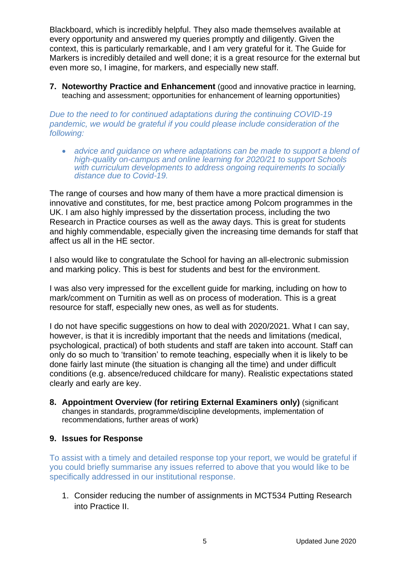Blackboard, which is incredibly helpful. They also made themselves available at every opportunity and answered my queries promptly and diligently. Given the context, this is particularly remarkable, and I am very grateful for it. The Guide for Markers is incredibly detailed and well done; it is a great resource for the external but even more so, I imagine, for markers, and especially new staff.

**7. Noteworthy Practice and Enhancement** (good and innovative practice in learning, teaching and assessment; opportunities for enhancement of learning opportunities)

*Due to the need to for continued adaptations during the continuing COVID-19 pandemic, we would be grateful if you could please include consideration of the following:* 

• *advice and guidance on where adaptations can be made to support a blend of high-quality on-campus and online learning for 2020/21 to support Schools with curriculum developments to address ongoing requirements to socially distance due to Covid-19.*

The range of courses and how many of them have a more practical dimension is innovative and constitutes, for me, best practice among Polcom programmes in the UK. I am also highly impressed by the dissertation process, including the two Research in Practice courses as well as the away days. This is great for students and highly commendable, especially given the increasing time demands for staff that affect us all in the HE sector.

I also would like to congratulate the School for having an all-electronic submission and marking policy. This is best for students and best for the environment.

I was also very impressed for the excellent guide for marking, including on how to mark/comment on Turnitin as well as on process of moderation. This is a great resource for staff, especially new ones, as well as for students.

I do not have specific suggestions on how to deal with 2020/2021. What I can say, however, is that it is incredibly important that the needs and limitations (medical, psychological, practical) of both students and staff are taken into account. Staff can only do so much to 'transition' to remote teaching, especially when it is likely to be done fairly last minute (the situation is changing all the time) and under difficult conditions (e.g. absence/reduced childcare for many). Realistic expectations stated clearly and early are key.

**8. Appointment Overview (for retiring External Examiners only)** (significant changes in standards, programme/discipline developments, implementation of recommendations, further areas of work)

## **9. Issues for Response**

To assist with a timely and detailed response top your report, we would be grateful if you could briefly summarise any issues referred to above that you would like to be specifically addressed in our institutional response.

1. Consider reducing the number of assignments in MCT534 Putting Research into Practice II.